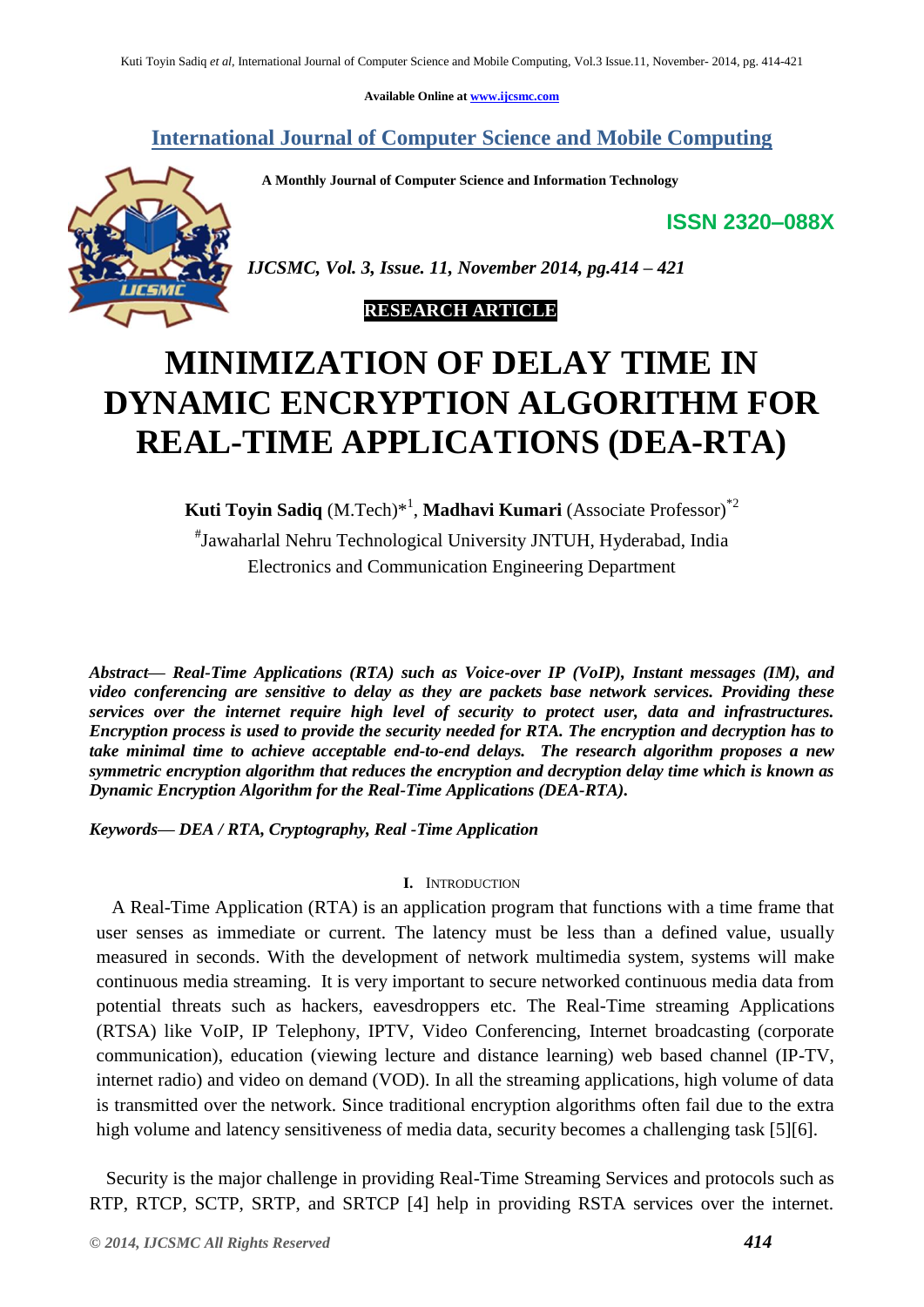**Available Online at [www.ijcsmc.com](http://www.ijcsmc.com/)**

**International Journal of Computer Science and Mobile Computing**

 **A Monthly Journal of Computer Science and Information Technology**

**ISSN 2320–088X**



*IJCSMC, Vol. 3, Issue. 11, November 2014, pg.414 – 421*

# **RESEARCH ARTICLE**

# **MINIMIZATION OF DELAY TIME IN DYNAMIC ENCRYPTION ALGORITHM FOR REAL-TIME APPLICATIONS (DEA-RTA)**

**Kuti Toyin Sadiq** (M.Tech)\* 1 , **Madhavi Kumari** (Associate Professor)\*2

# Jawaharlal Nehru Technological University JNTUH, Hyderabad, India Electronics and Communication Engineering Department

*Abstract— Real-Time Applications (RTA) such as Voice-over IP (VoIP), Instant messages (IM), and video conferencing are sensitive to delay as they are packets base network services. Providing these services over the internet require high level of security to protect user, data and infrastructures. Encryption process is used to provide the security needed for RTA. The encryption and decryption has to take minimal time to achieve acceptable end-to-end delays. The research algorithm proposes a new symmetric encryption algorithm that reduces the encryption and decryption delay time which is known as Dynamic Encryption Algorithm for the Real-Time Applications (DEA-RTA).*

*Keywords— DEA / RTA, Cryptography, Real -Time Application*

# **I.** INTRODUCTION

A Real-Time Application (RTA) is an application program that functions with a time frame that user senses as immediate or current. The latency must be less than a defined value, usually measured in seconds. With the development of network multimedia system, systems will make continuous media streaming. It is very important to secure networked continuous media data from potential threats such as hackers, eavesdroppers etc. The Real-Time streaming Applications (RTSA) like VoIP, IP Telephony, IPTV, Video Conferencing, Internet broadcasting (corporate communication), education (viewing lecture and distance learning) web based channel (IP-TV, internet radio) and video on demand (VOD). In all the streaming applications, high volume of data is transmitted over the network. Since traditional encryption algorithms often fail due to the extra high volume and latency sensitiveness of media data, security becomes a challenging task [5][6].

Security is the major challenge in providing Real-Time Streaming Services and protocols such as RTP, RTCP, SCTP, SRTP, and SRTCP [4] help in providing RSTA services over the internet.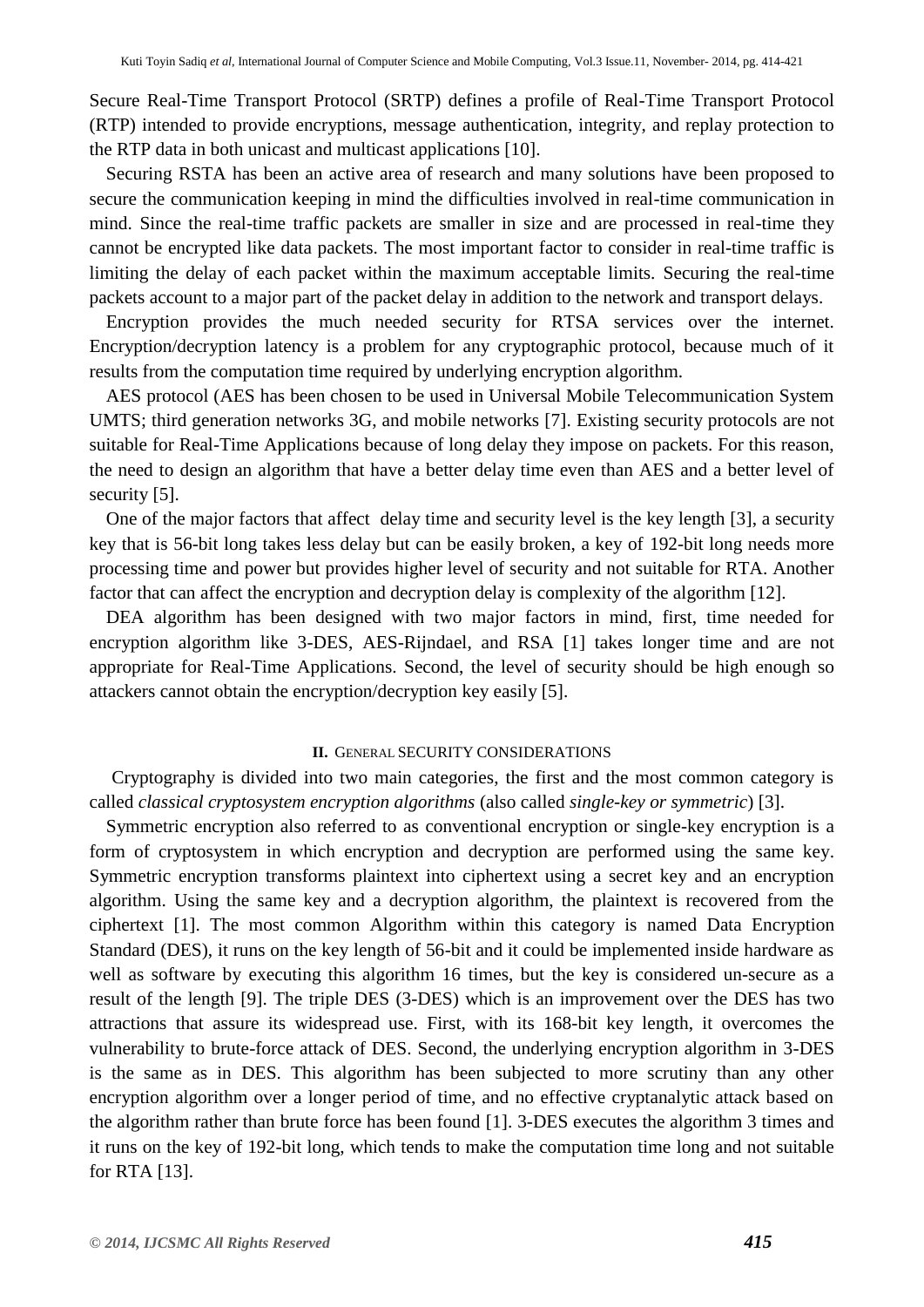Secure Real-Time Transport Protocol (SRTP) defines a profile of Real-Time Transport Protocol (RTP) intended to provide encryptions, message authentication, integrity, and replay protection to the RTP data in both unicast and multicast applications [10].

Securing RSTA has been an active area of research and many solutions have been proposed to secure the communication keeping in mind the difficulties involved in real-time communication in mind. Since the real-time traffic packets are smaller in size and are processed in real-time they cannot be encrypted like data packets. The most important factor to consider in real-time traffic is limiting the delay of each packet within the maximum acceptable limits. Securing the real-time packets account to a major part of the packet delay in addition to the network and transport delays.

Encryption provides the much needed security for RTSA services over the internet. Encryption/decryption latency is a problem for any cryptographic protocol, because much of it results from the computation time required by underlying encryption algorithm.

AES protocol (AES has been chosen to be used in Universal Mobile Telecommunication System UMTS; third generation networks 3G, and mobile networks [7]. Existing security protocols are not suitable for Real-Time Applications because of long delay they impose on packets. For this reason, the need to design an algorithm that have a better delay time even than AES and a better level of security [5].

One of the major factors that affect delay time and security level is the key length [3], a security key that is 56-bit long takes less delay but can be easily broken, a key of 192-bit long needs more processing time and power but provides higher level of security and not suitable for RTA. Another factor that can affect the encryption and decryption delay is complexity of the algorithm [12].

DEA algorithm has been designed with two major factors in mind, first, time needed for encryption algorithm like 3-DES, AES-Rijndael, and RSA [1] takes longer time and are not appropriate for Real-Time Applications. Second, the level of security should be high enough so attackers cannot obtain the encryption/decryption key easily [5].

# **II.** GENERAL SECURITY CONSIDERATIONS

Cryptography is divided into two main categories, the first and the most common category is called *classical cryptosystem encryption algorithms* (also called *single-key or symmetric*) [3].

Symmetric encryption also referred to as conventional encryption or single-key encryption is a form of cryptosystem in which encryption and decryption are performed using the same key. Symmetric encryption transforms plaintext into ciphertext using a secret key and an encryption algorithm. Using the same key and a decryption algorithm, the plaintext is recovered from the ciphertext [1]. The most common Algorithm within this category is named Data Encryption Standard (DES), it runs on the key length of 56-bit and it could be implemented inside hardware as well as software by executing this algorithm 16 times, but the key is considered un-secure as a result of the length [9]. The triple DES (3-DES) which is an improvement over the DES has two attractions that assure its widespread use. First, with its 168-bit key length, it overcomes the vulnerability to brute-force attack of DES. Second, the underlying encryption algorithm in 3-DES is the same as in DES. This algorithm has been subjected to more scrutiny than any other encryption algorithm over a longer period of time, and no effective cryptanalytic attack based on the algorithm rather than brute force has been found [1]. 3-DES executes the algorithm 3 times and it runs on the key of 192-bit long, which tends to make the computation time long and not suitable for RTA [13].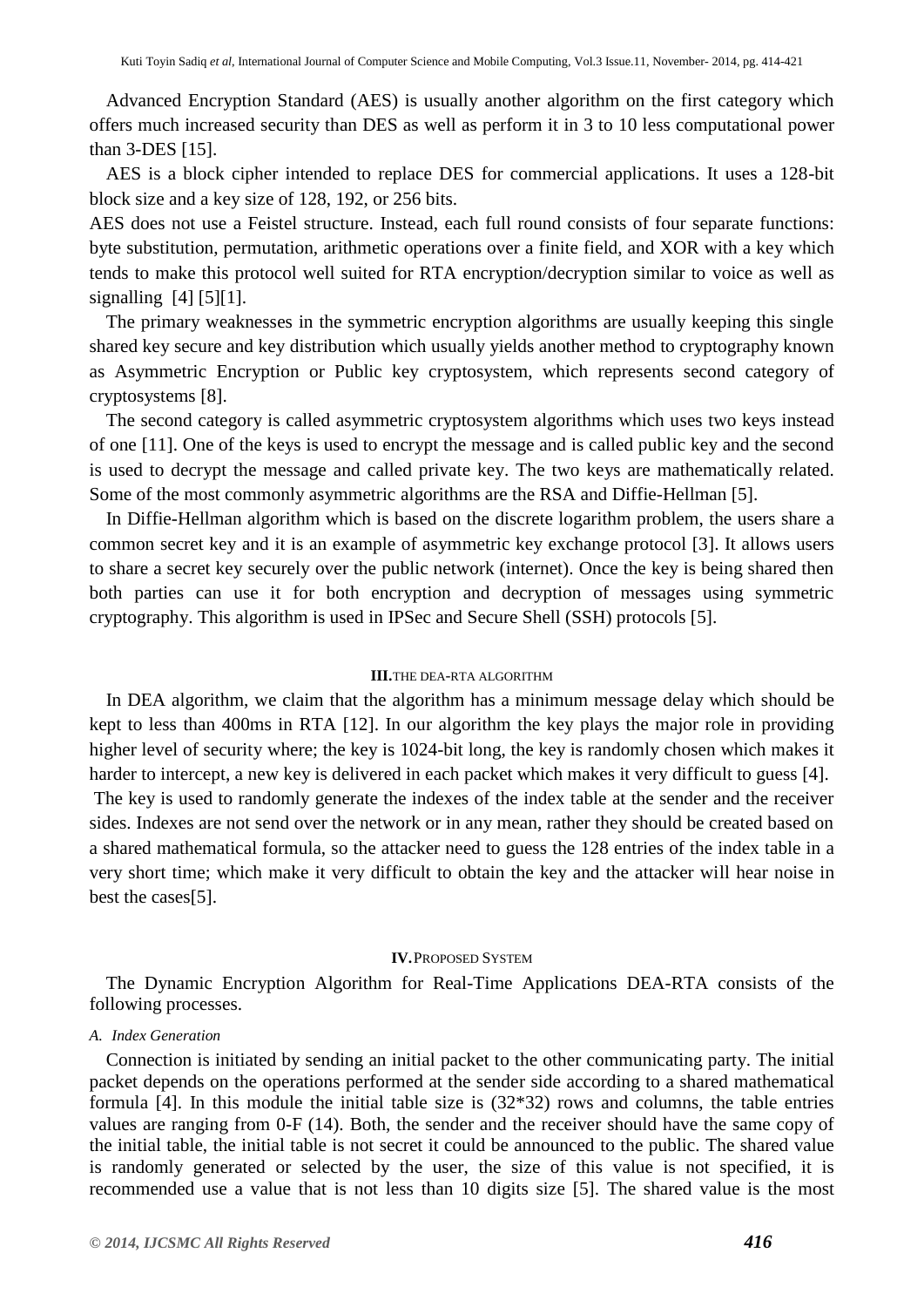Advanced Encryption Standard (AES) is usually another algorithm on the first category which offers much increased security than DES as well as perform it in 3 to 10 less computational power than 3-DES [15].

AES is a block cipher intended to replace DES for commercial applications. It uses a 128-bit block size and a key size of 128, 192, or 256 bits.

AES does not use a Feistel structure. Instead, each full round consists of four separate functions: byte substitution, permutation, arithmetic operations over a finite field, and XOR with a key which tends to make this protocol well suited for RTA encryption/decryption similar to voice as well as signalling  $[4] [5][1]$ .

The primary weaknesses in the symmetric encryption algorithms are usually keeping this single shared key secure and key distribution which usually yields another method to cryptography known as Asymmetric Encryption or Public key cryptosystem, which represents second category of cryptosystems [8].

The second category is called asymmetric cryptosystem algorithms which uses two keys instead of one [11]. One of the keys is used to encrypt the message and is called public key and the second is used to decrypt the message and called private key. The two keys are mathematically related. Some of the most commonly asymmetric algorithms are the RSA and Diffie-Hellman [5].

In Diffie-Hellman algorithm which is based on the discrete logarithm problem, the users share a common secret key and it is an example of asymmetric key exchange protocol [3]. It allows users to share a secret key securely over the public network (internet). Once the key is being shared then both parties can use it for both encryption and decryption of messages using symmetric cryptography. This algorithm is used in IPSec and Secure Shell (SSH) protocols [5].

# **III.**THE DEA-RTA ALGORITHM

In DEA algorithm, we claim that the algorithm has a minimum message delay which should be kept to less than 400ms in RTA [12]. In our algorithm the key plays the major role in providing higher level of security where; the key is 1024-bit long, the key is randomly chosen which makes it harder to intercept, a new key is delivered in each packet which makes it very difficult to guess [4]. The key is used to randomly generate the indexes of the index table at the sender and the receiver sides. Indexes are not send over the network or in any mean, rather they should be created based on a shared mathematical formula, so the attacker need to guess the 128 entries of the index table in a very short time; which make it very difficult to obtain the key and the attacker will hear noise in best the cases[5].

#### **IV.**PROPOSED SYSTEM

The Dynamic Encryption Algorithm for Real-Time Applications DEA-RTA consists of the following processes.

#### *A. Index Generation*

Connection is initiated by sending an initial packet to the other communicating party. The initial packet depends on the operations performed at the sender side according to a shared mathematical formula [4]. In this module the initial table size is (32\*32) rows and columns, the table entries values are ranging from 0-F (14). Both, the sender and the receiver should have the same copy of the initial table, the initial table is not secret it could be announced to the public. The shared value is randomly generated or selected by the user, the size of this value is not specified, it is recommended use a value that is not less than 10 digits size [5]. The shared value is the most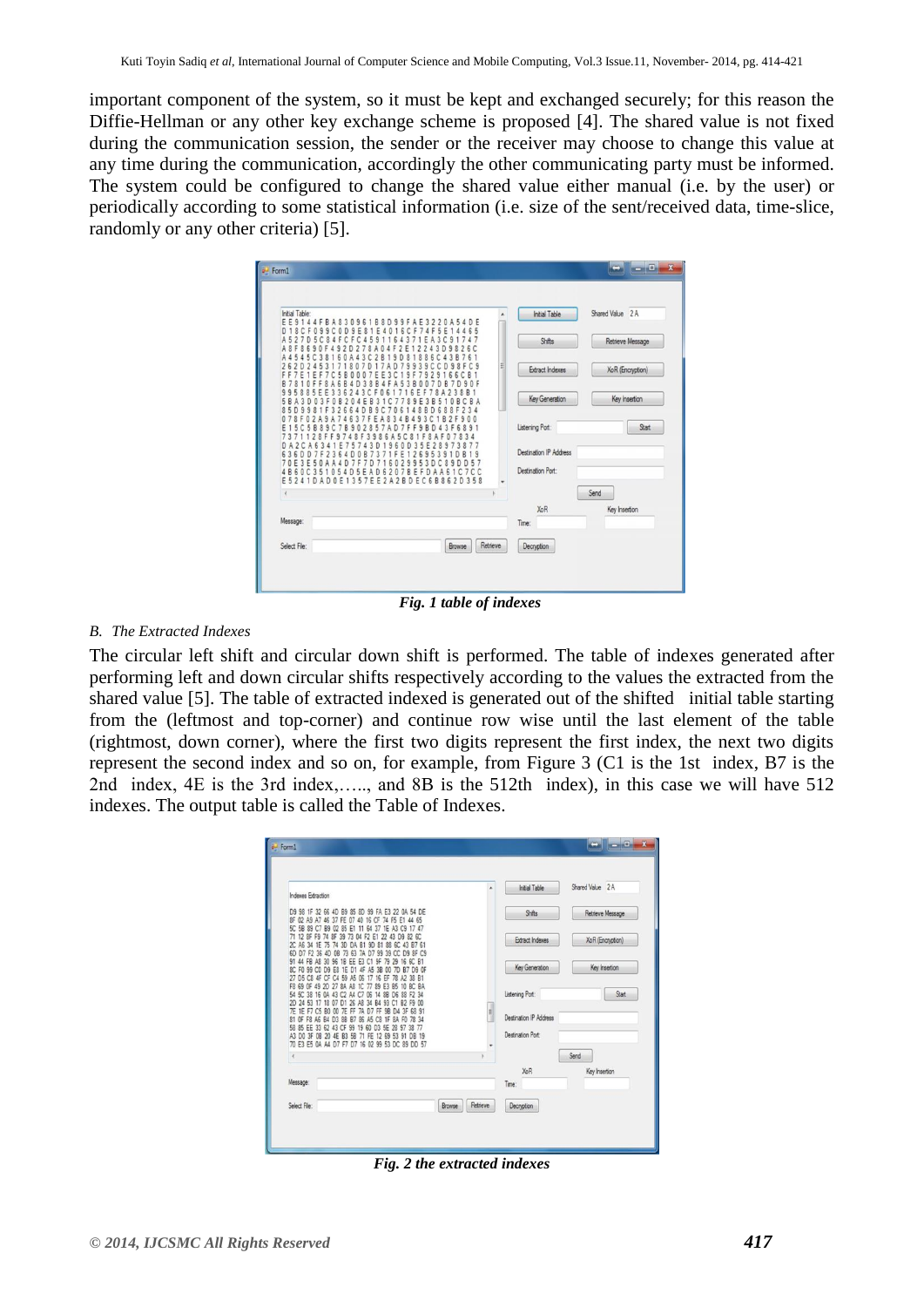important component of the system, so it must be kept and exchanged securely; for this reason the Diffie-Hellman or any other key exchange scheme is proposed [4]. The shared value is not fixed during the communication session, the sender or the receiver may choose to change this value at any time during the communication, accordingly the other communicating party must be informed. The system could be configured to change the shared value either manual (i.e. by the user) or periodically according to some statistical information (i.e. size of the sent/received data, time-slice, randomly or any other criteria) [5].



*Fig. 1 table of indexes*

# *B. The Extracted Indexes*

The circular left shift and circular down shift is performed. The table of indexes generated after performing left and down circular shifts respectively according to the values the extracted from the shared value [5]. The table of extracted indexed is generated out of the shifted initial table starting from the (leftmost and top-corner) and continue row wise until the last element of the table (rightmost, down corner), where the first two digits represent the first index, the next two digits represent the second index and so on, for example, from Figure 3 (C1 is the 1st index, B7 is the 2nd index, 4E is the 3rd index,….., and 8B is the 512th index), in this case we will have 512 indexes. The output table is called the Table of Indexes.

| Indexes Extraction                                                                                                                                                                                                                                                                                                                                                                                                                | ٨                  | <b>Initial Table</b>                        | Shared Value 2 A |
|-----------------------------------------------------------------------------------------------------------------------------------------------------------------------------------------------------------------------------------------------------------------------------------------------------------------------------------------------------------------------------------------------------------------------------------|--------------------|---------------------------------------------|------------------|
| D9 98 1F 32 66 4D B9 85 8D 99 FA E3 22 0A 54 DE<br>8F 02 A9 A7 46 37 FE 07 40 16 CF 74 F5 E1 44 65                                                                                                                                                                                                                                                                                                                                |                    | Shifts                                      | Retrieve Message |
| 5C 5B 89 C7 B9<br>02<br>85<br>E1<br>64<br>37<br>A3<br>1E<br>C <sub>9</sub><br>17.47<br>71 12 8F F9 74 8F<br>39<br>22<br>D9 82 6C<br>04 F2<br>E1<br>43<br>73<br>2C A6 34 1E<br>74<br>3D<br>75<br>B1<br>81<br>88<br>$_{\rm RC}$<br>DA<br><b>9D</b><br>43 B7<br>61                                                                                                                                                                   |                    | Extract Indexes                             | XoR (Encryption) |
| 6D D7 F2 36<br>99<br>39<br>73<br>63<br>D7<br>8F<br>CS<br>0B<br>7A<br>D9<br>91 44 FB<br>A <sub>R</sub><br>30<br>96<br>1B<br>EE<br>E <sub>3</sub><br>9F<br>79<br>R<br>29<br>C <sub>0</sub><br>D <sub>9</sub><br>D1<br>45<br>8C FO<br>99<br>E8<br>1E<br>38<br>Œ<br>27 D5 C8<br>4F<br>16<br>59<br>A5<br>CF<br>06<br>38<br>EF<br>81                                                                                                    |                    | Key Generation                              | Key Insertion    |
| F8 69<br>OF<br>49<br>27<br>A8<br>89<br>2D<br>8A<br>BC.<br><b>BA</b><br>E3<br>R <sub>5</sub><br>54 50<br>38<br>A4<br>C7<br>88<br>D <sub>6</sub><br>16<br>0A<br>43<br>06<br>88<br>F2<br>14<br>34<br>17<br>18                                                                                                                                                                                                                        |                    | Listening Port:                             | Start            |
| 2D 24 53<br>26<br>A <sub>8</sub><br>34<br><b>B4</b><br>93<br>C1<br>B <sub>2</sub><br>07<br>D <sub>1</sub><br>F9<br>00<br>7E 1E F7<br>7E FF<br>7A<br>印<br>C5 B0<br>9 <sub>B</sub><br>00<br>D7<br>3F<br>n4<br>68 91<br>81 OF F8 A6 B4<br>8B B7<br>D3<br>86<br>A5<br>1F<br><b>8A</b><br>C8<br>F0<br>78 34<br>58 85 EE 33 62 43 CF<br>99 19 60<br>D3<br>5E<br>28 97<br>38 77<br>A3 D0 3F 0B 20 4E B3 5B<br>FE 12 69 53 91 DB 19<br>71 | Ħ                  | Destination IP Address<br>Destination Port: |                  |
| 70 E3 E5 0A A4 D7 F7 D7 16 02 99 53 DC 89 DD 57<br>$\epsilon$                                                                                                                                                                                                                                                                                                                                                                     |                    |                                             | Send             |
|                                                                                                                                                                                                                                                                                                                                                                                                                                   |                    | XoR                                         | Key Insertion    |
| Message:                                                                                                                                                                                                                                                                                                                                                                                                                          |                    | Time:                                       |                  |
| Select File:                                                                                                                                                                                                                                                                                                                                                                                                                      | Retrieve<br>Browse | Decryption                                  |                  |

*Fig. 2 the extracted indexes*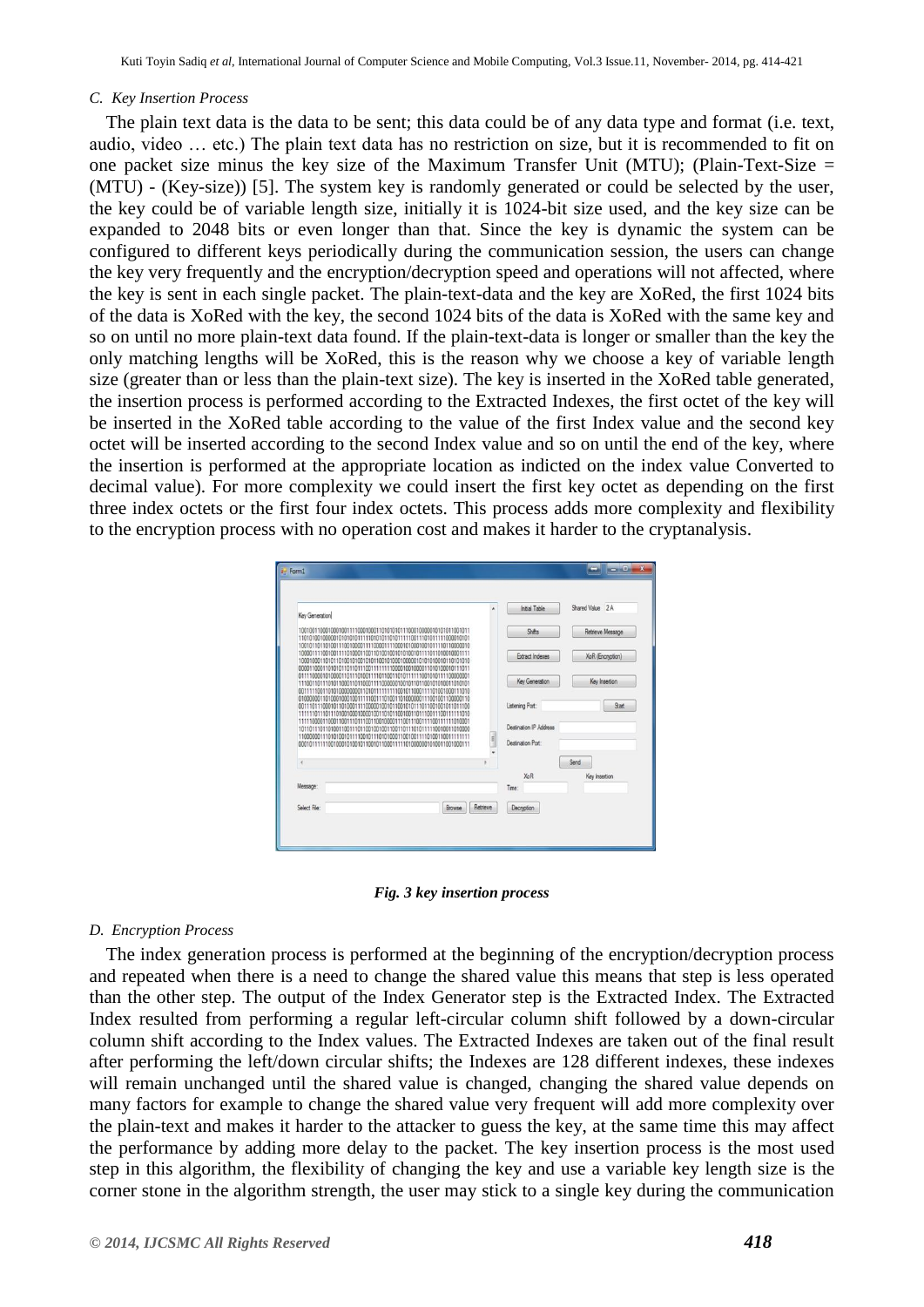# *C. Key Insertion Process*

The plain text data is the data to be sent; this data could be of any data type and format (i.e. text, audio, video … etc.) The plain text data has no restriction on size, but it is recommended to fit on one packet size minus the key size of the Maximum Transfer Unit (MTU); (Plain-Text-Size  $=$ (MTU) - (Key-size)) [5]. The system key is randomly generated or could be selected by the user, the key could be of variable length size, initially it is 1024-bit size used, and the key size can be expanded to 2048 bits or even longer than that. Since the key is dynamic the system can be configured to different keys periodically during the communication session, the users can change the key very frequently and the encryption/decryption speed and operations will not affected, where the key is sent in each single packet. The plain-text-data and the key are XoRed, the first 1024 bits of the data is XoRed with the key, the second 1024 bits of the data is XoRed with the same key and so on until no more plain-text data found. If the plain-text-data is longer or smaller than the key the only matching lengths will be XoRed, this is the reason why we choose a key of variable length size (greater than or less than the plain-text size). The key is inserted in the XoRed table generated, the insertion process is performed according to the Extracted Indexes, the first octet of the key will be inserted in the XoRed table according to the value of the first Index value and the second key octet will be inserted according to the second Index value and so on until the end of the key, where the insertion is performed at the appropriate location as indicted on the index value Converted to decimal value). For more complexity we could insert the first key octet as depending on the first three index octets or the first four index octets. This process adds more complexity and flexibility to the encryption process with no operation cost and makes it harder to the cryptanalysis.



*Fig. 3 key insertion process*

# *D. Encryption Process*

The index generation process is performed at the beginning of the encryption/decryption process and repeated when there is a need to change the shared value this means that step is less operated than the other step. The output of the Index Generator step is the Extracted Index. The Extracted Index resulted from performing a regular left-circular column shift followed by a down-circular column shift according to the Index values. The Extracted Indexes are taken out of the final result after performing the left/down circular shifts; the Indexes are 128 different indexes, these indexes will remain unchanged until the shared value is changed, changing the shared value depends on many factors for example to change the shared value very frequent will add more complexity over the plain-text and makes it harder to the attacker to guess the key, at the same time this may affect the performance by adding more delay to the packet. The key insertion process is the most used step in this algorithm, the flexibility of changing the key and use a variable key length size is the corner stone in the algorithm strength, the user may stick to a single key during the communication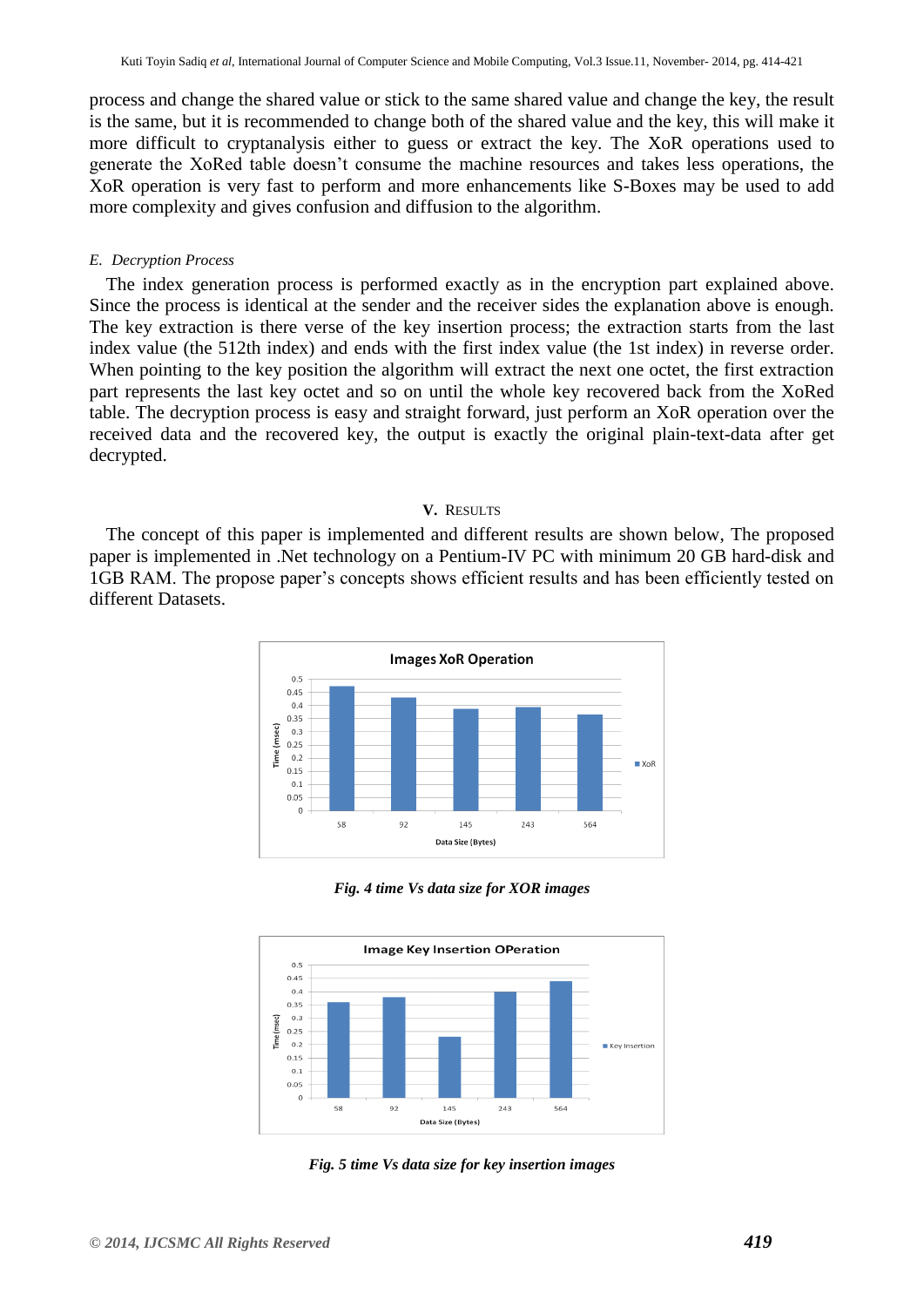process and change the shared value or stick to the same shared value and change the key, the result is the same, but it is recommended to change both of the shared value and the key, this will make it more difficult to cryptanalysis either to guess or extract the key. The XoR operations used to generate the XoRed table doesn't consume the machine resources and takes less operations, the XoR operation is very fast to perform and more enhancements like S-Boxes may be used to add more complexity and gives confusion and diffusion to the algorithm.

# *E. Decryption Process*

The index generation process is performed exactly as in the encryption part explained above. Since the process is identical at the sender and the receiver sides the explanation above is enough. The key extraction is there verse of the key insertion process; the extraction starts from the last index value (the 512th index) and ends with the first index value (the 1st index) in reverse order. When pointing to the key position the algorithm will extract the next one octet, the first extraction part represents the last key octet and so on until the whole key recovered back from the XoRed table. The decryption process is easy and straight forward, just perform an XoR operation over the received data and the recovered key, the output is exactly the original plain-text-data after get decrypted.

# **V.** RESULTS

The concept of this paper is implemented and different results are shown below, The proposed paper is implemented in .Net technology on a Pentium-IV PC with minimum 20 GB hard-disk and 1GB RAM. The propose paper's concepts shows efficient results and has been efficiently tested on different Datasets.



*Fig. 4 time Vs data size for XOR images*



*Fig. 5 time Vs data size for key insertion images*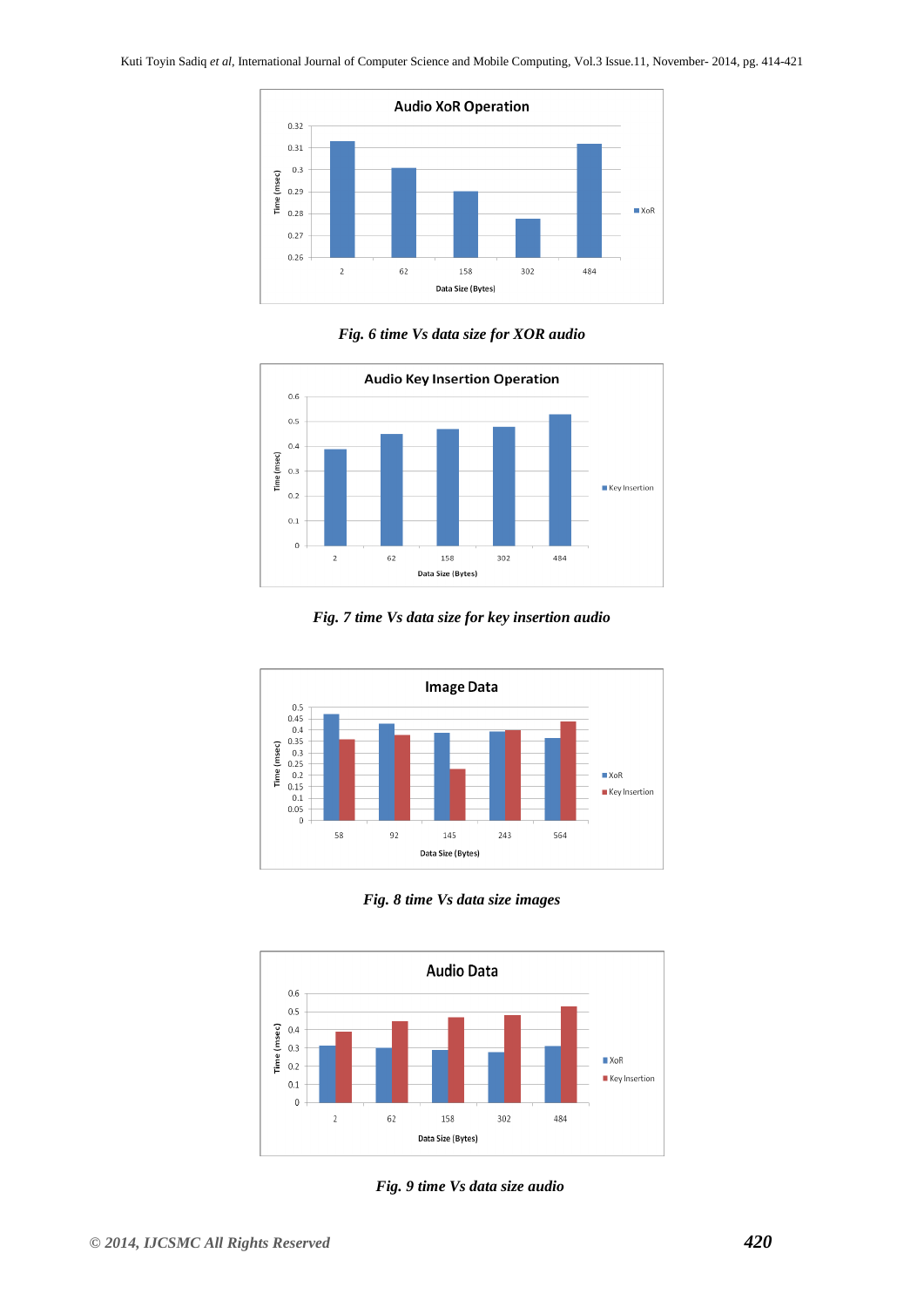

*Fig. 6 time Vs data size for XOR audio*



*Fig. 7 time Vs data size for key insertion audio*



*Fig. 8 time Vs data size images*



*Fig. 9 time Vs data size audio*